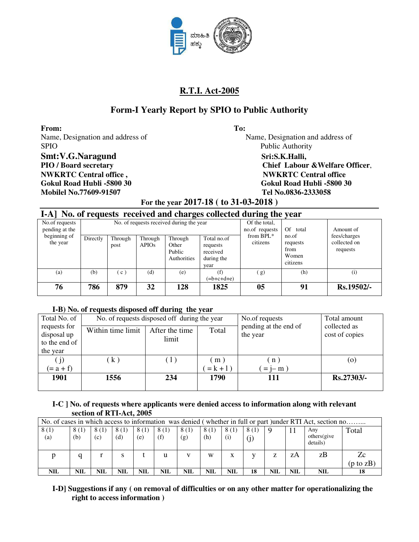

# **Form-I Yearly Report by SPIO to Public Authority**

**From: To:**  Name, Designation and address of Name, Designation and address of SPIO Public Authority Smt:V.G.Naragund Sri:S.K.Halli, **NWKRTC Central office , NWKRTC Central office Gokul Road Hubli -5800 30 Gokul Road Hubli -5800 30 Mobilel No.77609-91507 Tel No.0836-2333058**

**PIO / Board secretary Chief Labour &Welfare Officer**,

**For the year 2017-18 ( to 31-03-2018 )** 

|                                  | I-A] No. of requests received and charges collected during the year |                 |                         |                                                                                                        |                                 |                          |                                                |                                          |  |  |  |  |  |
|----------------------------------|---------------------------------------------------------------------|-----------------|-------------------------|--------------------------------------------------------------------------------------------------------|---------------------------------|--------------------------|------------------------------------------------|------------------------------------------|--|--|--|--|--|
| No.of requests<br>pending at the |                                                                     |                 |                         | No. of requests received during the year                                                               | Of the total,<br>no.of requests | Of<br>total              | Amount of                                      |                                          |  |  |  |  |  |
| beginning of<br>the year         | Directly                                                            | Through<br>post | Through<br><b>APIOs</b> | Through<br>Total no.of<br>Other<br>requests<br>Public<br>received<br>during the<br>Authorities<br>vear |                                 | from $BPL^*$<br>citizens | no.of<br>requests<br>from<br>Women<br>citizens | fees/charges<br>collected on<br>requests |  |  |  |  |  |
| (a)                              | (b)                                                                 | $\mathbf{c}$ )  | (d)                     | (e)                                                                                                    | (f)<br>$(=b+c+d+e)$             | (g)                      | (h)                                            | (i)                                      |  |  |  |  |  |
| 76                               | 786                                                                 | 879             | 32                      | 128                                                                                                    | 1825                            | 05                       | 91                                             | Rs.19502/-                               |  |  |  |  |  |

## **I-B) No. of requests disposed off during the year**

| Total No. of                |                   | No. of requests disposed off during the year | No.of requests                    | Total amount                   |              |
|-----------------------------|-------------------|----------------------------------------------|-----------------------------------|--------------------------------|--------------|
| requests for<br>disposal up | Within time limit | After the time                               | pending at the end of<br>the year | collected as<br>cost of copies |              |
| to the end of               |                   | limit                                        |                                   |                                |              |
| the year                    |                   |                                              |                                   |                                |              |
|                             | $\mathbf{k}$ )    | (1)                                          | (m)                               | n)                             | (0)          |
| $(= a + f)$                 |                   |                                              | $= k + 1$ )                       | $= i - m$                      |              |
| 1901                        | 1556              | 234                                          | 1790                              | 111                            | $Rs.27303/-$ |
|                             |                   |                                              |                                   |                                |              |

## **I-C ] No. of requests where applicants were denied access to information along with relevant section of RTI-Act, 2005**

|             | No. of cases in which access to information was denied (whether in full or part) under RTI Act, section no |             |             |             |             |             |             |             |             |            |            |                                 |              |
|-------------|------------------------------------------------------------------------------------------------------------|-------------|-------------|-------------|-------------|-------------|-------------|-------------|-------------|------------|------------|---------------------------------|--------------|
| 8(1)<br>(a) | 8(1)<br>(b)                                                                                                | 8(1)<br>(c) | 8(1)<br>(d) | 8(1)<br>(e) | 8(1)<br>(f) | 8(1)<br>(g) | 8(1)<br>(h) | 8(1)<br>(i) | 8(1)<br>(j) | <b>Q</b>   |            | Any<br>others (give<br>details) | Total        |
|             |                                                                                                            |             |             |             | u           |             | W           | x           |             |            | zΑ         | zB                              | Zc           |
|             |                                                                                                            |             |             |             |             |             |             |             |             |            |            |                                 | (p to $zB$ ) |
| <b>NIL</b>  | NIL                                                                                                        | NIL         | NIL         | <b>NIL</b>  | NIL         | NIL         | <b>NIL</b>  | <b>NIL</b>  | 18          | <b>NIL</b> | <b>NIL</b> | <b>NIL</b>                      | 18           |

**I-D] Suggestions if any ( on removal of difficulties or on any other matter for operationalizing the right to access information )**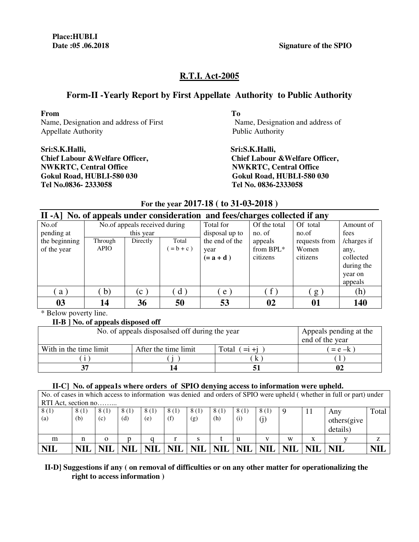**Date :05 .06.2018 Signature of the SPIO** 

# **R.T.I. Act-2005**

# **Form-II -Yearly Report by First Appellate Authority to Public Authority**

**From To**  Name, Designation and address of First Name, Designation and address of Appellate Authority Public Authority

**Sri:S.K.Halli, Sri:S.K.Halli, NWKRTC, Central Office**   $\bullet$  **NWKRTC, Central Office Gokul Road, HUBLI-580 030 Gokul Road, HUBLI-580 030 Tel No.0836- 2333058 Tel No. 0836-2333058**

**Chief Labour &Welfare Officer,** 

|               |                                                                             |                               |              | $101$ and $1041$ = 0.1. To $100$ at $00$ = 0.10. |              |               |             |  |  |  |  |
|---------------|-----------------------------------------------------------------------------|-------------------------------|--------------|--------------------------------------------------|--------------|---------------|-------------|--|--|--|--|
|               | II -A] No. of appeals under consideration and fees/charges collected if any |                               |              |                                                  |              |               |             |  |  |  |  |
| No.of         |                                                                             | No.of appeals received during |              | Total for                                        | Of the total | Of total      | Amount of   |  |  |  |  |
| pending at    |                                                                             | this year                     |              | disposal up to                                   | no. of       | no.of         | fees        |  |  |  |  |
| the beginning | Through                                                                     | Directly                      | Total        | the end of the                                   | appeals      | requests from | /charges if |  |  |  |  |
| of the year   | <b>APIO</b>                                                                 |                               | $= b + c$ )  | year                                             | from BPL*    | Women         | any,        |  |  |  |  |
|               |                                                                             |                               |              | $(=a+d)$                                         | citizens     | citizens      | collected   |  |  |  |  |
|               |                                                                             |                               |              |                                                  |              |               | during the  |  |  |  |  |
|               |                                                                             |                               |              |                                                  |              |               | year on     |  |  |  |  |
|               |                                                                             |                               |              |                                                  |              |               | appeals     |  |  |  |  |
| a)            | $\mathbf{b}$                                                                | (c <sup>1</sup> )             | $\mathbf{d}$ | e                                                | f            | $g_{\alpha}$  | (h)         |  |  |  |  |
| 03            | 14                                                                          | 36                            | 50           | 53                                               | 02           | 01            | 140         |  |  |  |  |

**For the year 2017-18 ( to 31-03-2018 )** 

\* Below poverty line.

## **II-B ] No. of appeals disposed off**

| No. of appeals disposalsed off during the year | Appeals pending at the<br>end of the year |  |  |  |  |  |  |  |
|------------------------------------------------|-------------------------------------------|--|--|--|--|--|--|--|
| With in the time limit                         | After the time limit<br>Total<br>$=$ i +i |  |  |  |  |  |  |  |
|                                                |                                           |  |  |  |  |  |  |  |
| 37                                             |                                           |  |  |  |  |  |  |  |

## **II-C] No. of appea1s where orders of SPIO denying access to information were upheld.**

| <b>NIL</b>  |                                                                                                                       |             | <b>NIL</b>  | <b>NIL</b>  |             | NIL   NIL   NIL |                          | <b>NIL</b>  | <b>NIL</b> | <b>NIL</b> |    | <b>NIL</b>                     | NII   |
|-------------|-----------------------------------------------------------------------------------------------------------------------|-------------|-------------|-------------|-------------|-----------------|--------------------------|-------------|------------|------------|----|--------------------------------|-------|
| m           | n                                                                                                                     | $\Omega$    |             |             |             |                 |                          | u           |            | W          | X  |                                |       |
| 8(1)<br>(a) | 8(1)<br>(b)                                                                                                           | 8(1)<br>(c) | 8(1)<br>(d) | 8(1)<br>(e) | 8(1)<br>(f) | 8(1)<br>(g)     | 8(1)<br>(h)              | 8(1)<br>(i) | 8(1)       | -9         | 11 | Any<br>others(give<br>details) | Total |
|             |                                                                                                                       |             |             |             |             |                 |                          |             |            |            |    |                                |       |
|             | RTI Act, section no                                                                                                   |             |             |             |             |                 |                          |             |            |            |    |                                |       |
|             | No. of cases in which access to information was denied and orders of SPIO were upheld (whether in full or part) under |             |             |             |             |                 |                          |             |            |            |    |                                |       |
|             |                                                                                                                       |             |             |             |             |                 | $\overline{\phantom{a}}$ |             |            |            |    |                                |       |

## **II-D] Suggestions if any ( on removal of difficulties or on any other matter for operationalizing the right to access information )**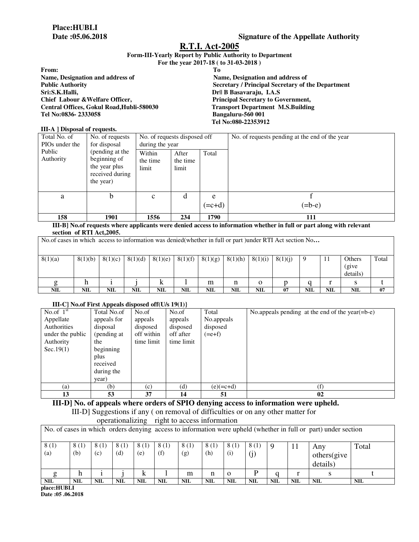#### **Form-III-Yearly Report by Public Authority to Department For the year 2017-18 ( to 31-03-2018 )**

|                                           | $101$ and $101$ $101$ and $100$ and $100$ and $100$ |
|-------------------------------------------|-----------------------------------------------------|
| From:                                     | Tо                                                  |
| Name, Designation and address of          | Name, Designation and address of                    |
| <b>Public Authority</b>                   | Secretary / Principal Secretary of the Department   |
| Sri:S.K.Halli,                            | Dr   B Basavaraju, I.A.S                            |
| Chief Labour & Welfare Officer,           | <b>Principal Secretary to Government,</b>           |
| Central Offices, Gokul Road, Hubli-580030 | <b>Transport Department M.S.Building</b>            |
| Tel No:0836-2333058                       | Bangaluru-560 001                                   |
|                                           | Tel No:080-22353912                                 |

#### **III-A ] Disposal of requests.**

| Total No. of<br>PIO <sub>s</sub> under the | No. of requests<br>for disposal                                                  | No. of requests disposed off<br>during the year |                            |               | No. of requests pending at the end of the year |
|--------------------------------------------|----------------------------------------------------------------------------------|-------------------------------------------------|----------------------------|---------------|------------------------------------------------|
| Public<br>Authority                        | (pending at the<br>beginning of<br>the year plus<br>received during<br>the year) | Within<br>the time<br>limit                     | After<br>the time<br>limit | Total         |                                                |
| a                                          | b                                                                                | $\mathbf{C}$                                    | d                          | e<br>$(=c+d)$ | $(=b-e)$                                       |
| 158                                        | 1901                                                                             | 1556                                            | 234                        | 1790          | 111                                            |

#### **III-B] No.of requests where applicants were denied access to information whether in full or part along with relevant section of RTI Act,2005.**

| No. of cases in which access to information was denied (whether in full or part) under RTI Act section No |            |         |            |         |            |         |         |             |         |            |     |            |       |
|-----------------------------------------------------------------------------------------------------------|------------|---------|------------|---------|------------|---------|---------|-------------|---------|------------|-----|------------|-------|
| 8(1)(a)                                                                                                   | 8(1)(b)    | 8(1)(c) | 8(1)(d)    | 8(1)(e) | 8(1)(f)    | 8(1)(g) | 8(1)(h) | 8(1)(i)     | 8(1)(i) | , 9        | -11 | Others     | Total |
|                                                                                                           |            |         |            |         |            |         |         |             |         |            |     | (give      |       |
|                                                                                                           |            |         |            |         |            |         |         |             |         |            |     | details)   |       |
|                                                                                                           | n          |         |            | K       |            | m       | n       | $\mathbf 0$ |         |            |     |            |       |
| <b>NIL</b>                                                                                                | <b>NIL</b> | NIL     | <b>NIL</b> | NIL     | <b>NIL</b> | NIL     | NIL     | <b>NIL</b>  | 07      | <b>NIL</b> | NIL | <b>NIL</b> | 07    |

## **III-C] No.of First Appeals disposed off(U/s 19(1)}**

|                  |             |            | $\sim$ $\sim$ $\sim$ |             |                                                    |
|------------------|-------------|------------|----------------------|-------------|----------------------------------------------------|
| No.of $1st$      | Total No.of | No.of      | No.of                | Total       | No.appeals pending at the end of the year $(=b-e)$ |
| Appellate        | appeals for | appeals    | appeals              | No.appeals  |                                                    |
| Authorities      | disposal    | disposed   | disposed             | disposed    |                                                    |
| under the public | (pending at | off within | off after            | $(=e+f)$    |                                                    |
| Authority        | the         | time limit | time limit           |             |                                                    |
| Sec.19(1)        | beginning   |            |                      |             |                                                    |
|                  | plus        |            |                      |             |                                                    |
|                  | received    |            |                      |             |                                                    |
|                  | during the  |            |                      |             |                                                    |
|                  | year)       |            |                      |             |                                                    |
| (a)              | (b)         | (c)        | (d)                  | $(e)(=c+d)$ |                                                    |
| 13               | 53          | 37         | 14                   | 51          | 02                                                 |

**III-D] No. of appeals where orders of SPIO denying access to information were upheld.**  III-D] Suggestions if any ( on removal of difficulties or on any other matter for

| operationalizing right to access information                                                                   |             |             |              |             |             |             |             |             |             |            |            |                                |            |
|----------------------------------------------------------------------------------------------------------------|-------------|-------------|--------------|-------------|-------------|-------------|-------------|-------------|-------------|------------|------------|--------------------------------|------------|
| No. of cases in which orders denying access to information were upheld (whether in full or part) under section |             |             |              |             |             |             |             |             |             |            |            |                                |            |
| 8(1)<br>(a)                                                                                                    | 8(1)<br>(b) | 8(1)<br>(c) | 8 (1)<br>(d) | 8(1)<br>(e) | 8(1)<br>(f) | 8(1)<br>(g) | 8(1)<br>(h) | 8(1)<br>(i) | 8(1)<br>(j) |            | 11         | Any<br>others(give<br>details) | Total      |
|                                                                                                                | h           |             |              | k.          |             | m           | n           | $\Omega$    | D           |            |            |                                |            |
| <b>NIL</b><br>-------                                                                                          | <b>NIL</b>  | <b>NIL</b>  | <b>NIL</b>   | <b>NIL</b>  | NIL         | <b>NIL</b>  | <b>NIL</b>  | <b>NIL</b>  | <b>NIL</b>  | <b>NIL</b> | <b>NIL</b> | <b>NIL</b>                     | <b>NIL</b> |

**place:HUBLI** 

**Date :05 .06.2018**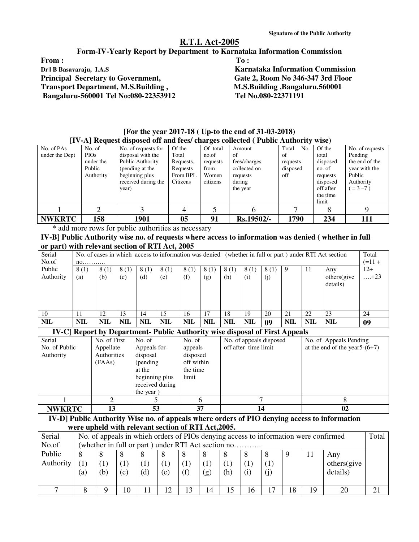### **Form-IV-Yearly Report by Department to Karnataka Information Commission**

From : To : The second second second second second second second second second second second second second second second second second second second second second second second second second second second second second sec **Dr|| B Basavaraju, I.A.S** Karnataka Information Commission **Principal Secretary to Government, Gate 2, Room No 346-347 3rd Floor Transport Department, M.S.Building , M.S.Building ,Bangaluru.560001 Bangaluru-560001 Tel No:080-22353912 Tel No.080-22371191** 

| [For the year 2017-18 ( Up-to the end of 31-03-2018)                             |  |
|----------------------------------------------------------------------------------|--|
| [IV-A] Request disposed off and fees/ charges collected ( Public Authority wise) |  |

| No. of PAs     | No. of      | No. of requests for | Of the    | Of total | Amount       | Total<br>No. | Of the    | No. of requests |
|----------------|-------------|---------------------|-----------|----------|--------------|--------------|-----------|-----------------|
| under the Dept | <b>PIOs</b> | disposal with the   | Total     | no.of    | of           | of           | total     | Pending         |
|                | under the   | Public Authority    | Requests, | requests | fees/charges | requests     | disposed  | the end of the  |
|                | Public      | (pending at the     | Requests  | from     | collected on | disposed     | no. of    | year with the   |
|                | Authority   | beginning plus      | From BPL  | Women    | requests     | off          | requests  | Public          |
|                |             | received during the | Citizens  | citizens | during       |              | disposed  | Authority       |
|                |             | year)               |           |          | the year     |              | off after | $=3-7$ )        |
|                |             |                     |           |          |              |              | the time  |                 |
|                |             |                     |           |          |              |              | limit     |                 |
|                | ◠           |                     |           |          |              |              |           | Q               |
|                |             |                     |           |          |              |              |           |                 |
| <b>NWKRTC</b>  | 158         | 1901                | 05        | 91       | Rs.19502/-   | 1790         | 234       | 111             |

\* add more rows for public authorities as necessary

### **IV-B] Public Authority wise no. of requests where access to information was denied ( whether in full or part) with relevant section of RTI Act, 2005**

| Serial     | No. of cases in which access to information was denied (whether in full or part) under RTI Act section |            |            |       |            |            |            |            |            | Total     |            |            |             |             |
|------------|--------------------------------------------------------------------------------------------------------|------------|------------|-------|------------|------------|------------|------------|------------|-----------|------------|------------|-------------|-------------|
| No.of      |                                                                                                        | $no$       |            |       |            |            |            |            |            | $(=11 +$  |            |            |             |             |
| Public     | 8(1)                                                                                                   | 8(1)       | 8(1)       | 8 (1) | 8(1)       | 8(1)       | 8(1)       | 8(1)       | 8(1)       | 8(1)      |            | -11        | Any         | $12+$       |
| Authority  | (a)                                                                                                    | (b)        | (c)        | (d)   | (e)        | (f)        | (g)        | (h)        | (i)        | $\rm (j)$ |            |            | others(give | $\dots +23$ |
|            |                                                                                                        |            |            |       |            |            |            |            |            |           |            |            | details)    |             |
|            |                                                                                                        |            |            |       |            |            |            |            |            |           |            |            |             |             |
|            |                                                                                                        |            |            |       |            |            |            |            |            |           |            |            |             |             |
|            |                                                                                                        |            |            |       |            |            |            |            |            |           |            |            |             |             |
|            |                                                                                                        |            |            |       |            |            |            |            |            |           |            |            |             |             |
| 10         |                                                                                                        | 12         | 13         | 14    | 15         | 16         | 17         | 18         | 19         | 20        | 21         | 22         | 23          | 24          |
| <b>NIL</b> | <b>NIL</b>                                                                                             | <b>NIL</b> | <b>NIL</b> | NIL   | <b>NIL</b> | <b>NIL</b> | <b>NIL</b> | <b>NIL</b> | <b>NIL</b> | 09        | <b>NIL</b> | <b>NIL</b> | <b>NIL</b>  | 09          |

## **IV-C] Report by Department- Public Authority wise disposal of First Appeals**

| Serial        | No. of First | No. of          | No. of     | No. of appeals disposed | No. of Appeals Pending           |
|---------------|--------------|-----------------|------------|-------------------------|----------------------------------|
| No. of Public | Appellate    | Appeals for     | appeals    | off after time limit    | at the end of the year $5-(6+7)$ |
| Authority     | Authorities  | disposal        | disposed   |                         |                                  |
|               | (FAAs)       | (pending)       | off within |                         |                                  |
|               |              | at the          | the time   |                         |                                  |
|               |              | beginning plus  | limit      |                         |                                  |
|               |              | received during |            |                         |                                  |
|               |              | the year)       |            |                         |                                  |
|               |              |                 | h          |                         |                                  |
| <b>NWKRTC</b> | 13           | 53              | 37         | 14                      | 02                               |

## **IV-D] Public Authority Wise no. of appeals where orders of PIO denying access to information were upheld with relevant section of RTI Act,2005.**

| Serial    | No. of appeals in which orders of PIOs denying access to information were confirmed |    |     |     |     |    |     |     |     | Total |    |             |  |
|-----------|-------------------------------------------------------------------------------------|----|-----|-----|-----|----|-----|-----|-----|-------|----|-------------|--|
| No.of     | (whether in full or part) under RTI Act section no                                  |    |     |     |     |    |     |     |     |       |    |             |  |
| Public    |                                                                                     |    |     | 8   |     |    |     |     | 8   |       | 11 | Any         |  |
| Authority |                                                                                     |    |     |     |     |    |     |     |     |       |    | others(give |  |
|           | (a)                                                                                 | b) | (c) | (d) | (e) |    | (g) | (h) | (i) |       |    | details)    |  |
|           |                                                                                     |    |     |     |     |    |     |     |     |       |    |             |  |
|           |                                                                                     |    |     |     | ◠   | 13 | 14  |     | 16  | 18    | 19 | 20          |  |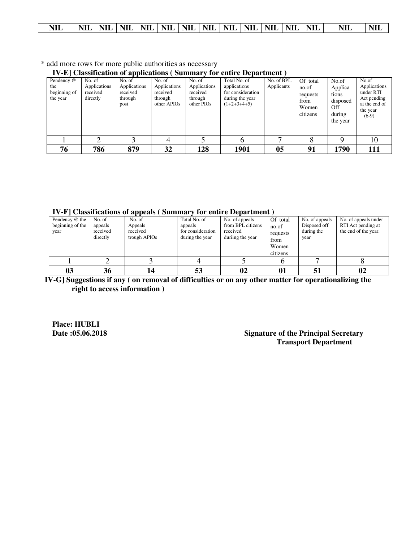\* add more rows for more public authorities as necessary

**IV-E] Classification of applications ( Summary for entire Department )** 

| Pendency @<br>the<br>beginning of<br>the year | No. of<br>Applications<br>received<br>directly | No. of<br>Applications<br>received<br>through<br>post | No. of<br>Applications<br>received<br>through<br>other APIOs | No. of<br>Applications<br>received<br>through<br>other PIOs | Total No. of<br>applications<br>for consideration<br>during the year<br>$(1+2+3+4+5)$ | No. of BPL<br>Applicants | Of total<br>no.of<br>requests<br>from<br>Women<br>citizens | No.of<br>Applica<br>tions<br>disposed<br>Off<br>during<br>the year | No.of<br>Applications<br>under RTI<br>Act pending<br>at the end of<br>the year<br>$(6-9)$ |
|-----------------------------------------------|------------------------------------------------|-------------------------------------------------------|--------------------------------------------------------------|-------------------------------------------------------------|---------------------------------------------------------------------------------------|--------------------------|------------------------------------------------------------|--------------------------------------------------------------------|-------------------------------------------------------------------------------------------|
|                                               |                                                |                                                       | 4                                                            |                                                             | h                                                                                     | −                        | o                                                          | a                                                                  | 10                                                                                        |
| 76                                            | 786                                            | 879                                                   | 32                                                           | 128                                                         | 1901                                                                                  | 05                       | 91                                                         | 1790                                                               | 111                                                                                       |

**IV-F] Classifications of appeals ( Summary for entire Department )** 

| Pendency @ the<br>beginning of the<br>year | No. of<br>appeals<br>received<br>directly | No. of<br>Appeals<br>received<br>trough APIOs | Total No. of<br>appeals<br>for consideration<br>during the year | No. of appeals<br>from BPL citizens<br>received<br>duriing the year | Of total<br>no.of<br>requests<br>from<br>Women<br>citizens | No. of appeals<br>Disposed off<br>during the<br>year | No. of appeals under<br>RTI Act pending at<br>the end of the year. |
|--------------------------------------------|-------------------------------------------|-----------------------------------------------|-----------------------------------------------------------------|---------------------------------------------------------------------|------------------------------------------------------------|------------------------------------------------------|--------------------------------------------------------------------|
|                                            |                                           |                                               |                                                                 |                                                                     |                                                            |                                                      |                                                                    |
| 03                                         | 36                                        | 14                                            | 53                                                              | 02                                                                  | 01                                                         |                                                      | 02                                                                 |

 **IV-G] Suggestions if any ( on removal of difficulties or on any other matter for operationalizing the right to access information )** 

**Place: HUBLI** 

## **Signature of the Principal Secretary Transport Department**